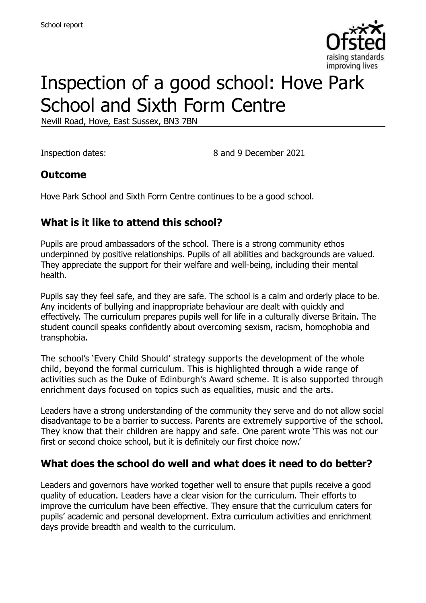

# Inspection of a good school: Hove Park School and Sixth Form Centre

Nevill Road, Hove, East Sussex, BN3 7BN

Inspection dates: 8 and 9 December 2021

## **Outcome**

Hove Park School and Sixth Form Centre continues to be a good school.

## **What is it like to attend this school?**

Pupils are proud ambassadors of the school. There is a strong community ethos underpinned by positive relationships. Pupils of all abilities and backgrounds are valued. They appreciate the support for their welfare and well-being, including their mental health.

Pupils say they feel safe, and they are safe. The school is a calm and orderly place to be. Any incidents of bullying and inappropriate behaviour are dealt with quickly and effectively. The curriculum prepares pupils well for life in a culturally diverse Britain. The student council speaks confidently about overcoming sexism, racism, homophobia and transphobia.

The school's 'Every Child Should' strategy supports the development of the whole child, beyond the formal curriculum. This is highlighted through a wide range of activities such as the Duke of Edinburgh's Award scheme. It is also supported through enrichment days focused on topics such as equalities, music and the arts.

Leaders have a strong understanding of the community they serve and do not allow social disadvantage to be a barrier to success. Parents are extremely supportive of the school. They know that their children are happy and safe. One parent wrote 'This was not our first or second choice school, but it is definitely our first choice now.'

## **What does the school do well and what does it need to do better?**

Leaders and governors have worked together well to ensure that pupils receive a good quality of education. Leaders have a clear vision for the curriculum. Their efforts to improve the curriculum have been effective. They ensure that the curriculum caters for pupils' academic and personal development. Extra curriculum activities and enrichment days provide breadth and wealth to the curriculum.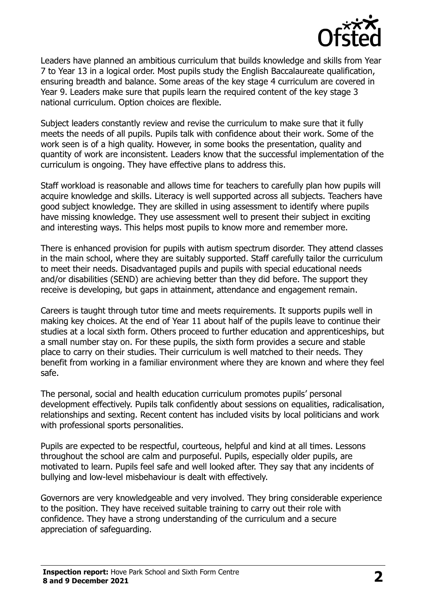

Leaders have planned an ambitious curriculum that builds knowledge and skills from Year 7 to Year 13 in a logical order. Most pupils study the English Baccalaureate qualification, ensuring breadth and balance. Some areas of the key stage 4 curriculum are covered in Year 9. Leaders make sure that pupils learn the required content of the key stage 3 national curriculum. Option choices are flexible.

Subject leaders constantly review and revise the curriculum to make sure that it fully meets the needs of all pupils. Pupils talk with confidence about their work. Some of the work seen is of a high quality. However, in some books the presentation, quality and quantity of work are inconsistent. Leaders know that the successful implementation of the curriculum is ongoing. They have effective plans to address this.

Staff workload is reasonable and allows time for teachers to carefully plan how pupils will acquire knowledge and skills. Literacy is well supported across all subjects. Teachers have good subject knowledge. They are skilled in using assessment to identify where pupils have missing knowledge. They use assessment well to present their subject in exciting and interesting ways. This helps most pupils to know more and remember more.

There is enhanced provision for pupils with autism spectrum disorder. They attend classes in the main school, where they are suitably supported. Staff carefully tailor the curriculum to meet their needs. Disadvantaged pupils and pupils with special educational needs and/or disabilities (SEND) are achieving better than they did before. The support they receive is developing, but gaps in attainment, attendance and engagement remain.

Careers is taught through tutor time and meets requirements. It supports pupils well in making key choices. At the end of Year 11 about half of the pupils leave to continue their studies at a local sixth form. Others proceed to further education and apprenticeships, but a small number stay on. For these pupils, the sixth form provides a secure and stable place to carry on their studies. Their curriculum is well matched to their needs. They benefit from working in a familiar environment where they are known and where they feel safe.

The personal, social and health education curriculum promotes pupils' personal development effectively. Pupils talk confidently about sessions on equalities, radicalisation, relationships and sexting. Recent content has included visits by local politicians and work with professional sports personalities.

Pupils are expected to be respectful, courteous, helpful and kind at all times. Lessons throughout the school are calm and purposeful. Pupils, especially older pupils, are motivated to learn. Pupils feel safe and well looked after. They say that any incidents of bullying and low-level misbehaviour is dealt with effectively.

Governors are very knowledgeable and very involved. They bring considerable experience to the position. They have received suitable training to carry out their role with confidence. They have a strong understanding of the curriculum and a secure appreciation of safeguarding.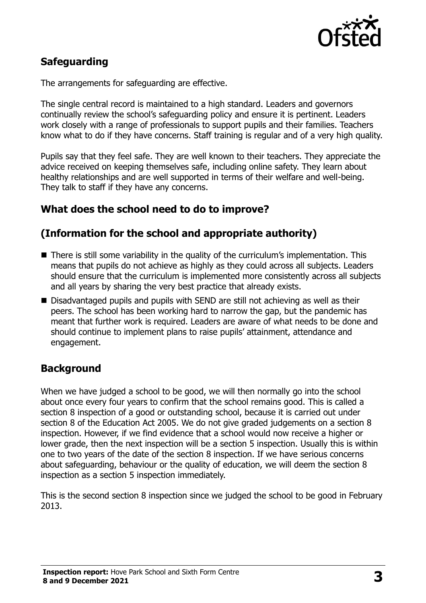

## **Safeguarding**

The arrangements for safeguarding are effective.

The single central record is maintained to a high standard. Leaders and governors continually review the school's safeguarding policy and ensure it is pertinent. Leaders work closely with a range of professionals to support pupils and their families. Teachers know what to do if they have concerns. Staff training is regular and of a very high quality.

Pupils say that they feel safe. They are well known to their teachers. They appreciate the advice received on keeping themselves safe, including online safety. They learn about healthy relationships and are well supported in terms of their welfare and well-being. They talk to staff if they have any concerns.

## **What does the school need to do to improve?**

## **(Information for the school and appropriate authority)**

- **There is still some variability in the quality of the curriculum's implementation. This** means that pupils do not achieve as highly as they could across all subjects. Leaders should ensure that the curriculum is implemented more consistently across all subjects and all years by sharing the very best practice that already exists.
- Disadvantaged pupils and pupils with SEND are still not achieving as well as their peers. The school has been working hard to narrow the gap, but the pandemic has meant that further work is required. Leaders are aware of what needs to be done and should continue to implement plans to raise pupils' attainment, attendance and engagement.

## **Background**

When we have judged a school to be good, we will then normally go into the school about once every four years to confirm that the school remains good. This is called a section 8 inspection of a good or outstanding school, because it is carried out under section 8 of the Education Act 2005. We do not give graded judgements on a section 8 inspection. However, if we find evidence that a school would now receive a higher or lower grade, then the next inspection will be a section 5 inspection. Usually this is within one to two years of the date of the section 8 inspection. If we have serious concerns about safeguarding, behaviour or the quality of education, we will deem the section 8 inspection as a section 5 inspection immediately.

This is the second section 8 inspection since we judged the school to be good in February 2013.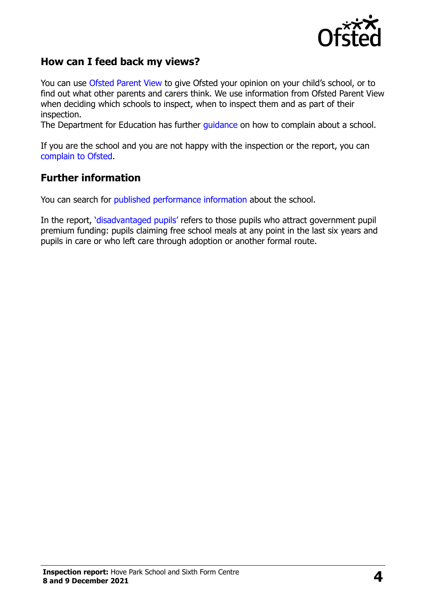

## **How can I feed back my views?**

You can use [Ofsted Parent View](https://parentview.ofsted.gov.uk/) to give Ofsted your opinion on your child's school, or to find out what other parents and carers think. We use information from Ofsted Parent View when deciding which schools to inspect, when to inspect them and as part of their inspection.

The Department for Education has further [guidance](http://www.gov.uk/complain-about-school) on how to complain about a school.

If you are the school and you are not happy with the inspection or the report, you can [complain to Ofsted.](https://www.gov.uk/complain-ofsted-report)

#### **Further information**

You can search for [published performance information](http://www.compare-school-performance.service.gov.uk/) about the school.

In the report, '[disadvantaged pupils](http://www.gov.uk/guidance/pupil-premium-information-for-schools-and-alternative-provision-settings)' refers to those pupils who attract government pupil premium funding: pupils claiming free school meals at any point in the last six years and pupils in care or who left care through adoption or another formal route.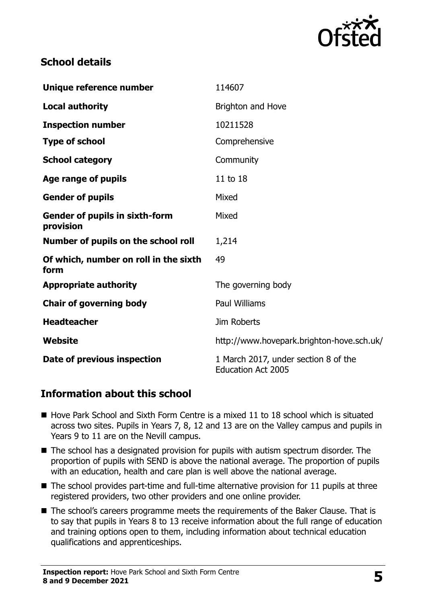

## **School details**

| Unique reference number                            | 114607                                                            |
|----------------------------------------------------|-------------------------------------------------------------------|
| <b>Local authority</b>                             | Brighton and Hove                                                 |
| <b>Inspection number</b>                           | 10211528                                                          |
| <b>Type of school</b>                              | Comprehensive                                                     |
| <b>School category</b>                             | Community                                                         |
| Age range of pupils                                | 11 to 18                                                          |
| <b>Gender of pupils</b>                            | Mixed                                                             |
| <b>Gender of pupils in sixth-form</b><br>provision | Mixed                                                             |
| Number of pupils on the school roll                | 1,214                                                             |
| Of which, number on roll in the sixth<br>form      | 49                                                                |
| <b>Appropriate authority</b>                       | The governing body                                                |
| <b>Chair of governing body</b>                     | <b>Paul Williams</b>                                              |
| <b>Headteacher</b>                                 | Jim Roberts                                                       |
| Website                                            | http://www.hovepark.brighton-hove.sch.uk/                         |
| Date of previous inspection                        | 1 March 2017, under section 8 of the<br><b>Education Act 2005</b> |

## **Information about this school**

- $\blacksquare$  Hove Park School and Sixth Form Centre is a mixed 11 to 18 school which is situated across two sites. Pupils in Years 7, 8, 12 and 13 are on the Valley campus and pupils in Years 9 to 11 are on the Nevill campus.
- The school has a designated provision for pupils with autism spectrum disorder. The proportion of pupils with SEND is above the national average. The proportion of pupils with an education, health and care plan is well above the national average.
- $\blacksquare$  The school provides part-time and full-time alternative provision for 11 pupils at three registered providers, two other providers and one online provider.
- The school's careers programme meets the requirements of the Baker Clause. That is to say that pupils in Years 8 to 13 receive information about the full range of education and training options open to them, including information about technical education qualifications and apprenticeships.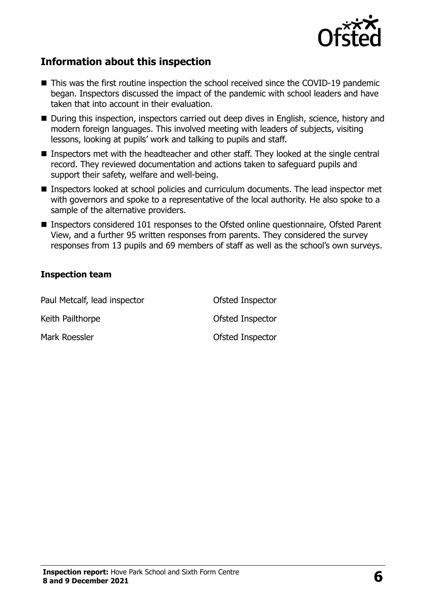

## **Information about this inspection**

- This was the first routine inspection the school received since the COVID-19 pandemic began. Inspectors discussed the impact of the pandemic with school leaders and have taken that into account in their evaluation.
- During this inspection, inspectors carried out deep dives in English, science, history and modern foreign languages. This involved meeting with leaders of subjects, visiting lessons, looking at pupils' work and talking to pupils and staff.
- Inspectors met with the headteacher and other staff. They looked at the single central record. They reviewed documentation and actions taken to safeguard pupils and support their safety, welfare and well-being.
- **Inspectors looked at school policies and curriculum documents. The lead inspector met** with governors and spoke to a representative of the local authority. He also spoke to a sample of the alternative providers.
- Inspectors considered 101 responses to the Ofsted online questionnaire, Ofsted Parent View, and a further 95 written responses from parents. They considered the survey responses from 13 pupils and 69 members of staff as well as the school's own surveys.

#### **Inspection team**

| Paul Metcalf, lead inspector | Ofsted Inspector |
|------------------------------|------------------|
| Keith Pailthorpe             | Ofsted Inspector |
| Mark Roessler                | Ofsted Inspector |